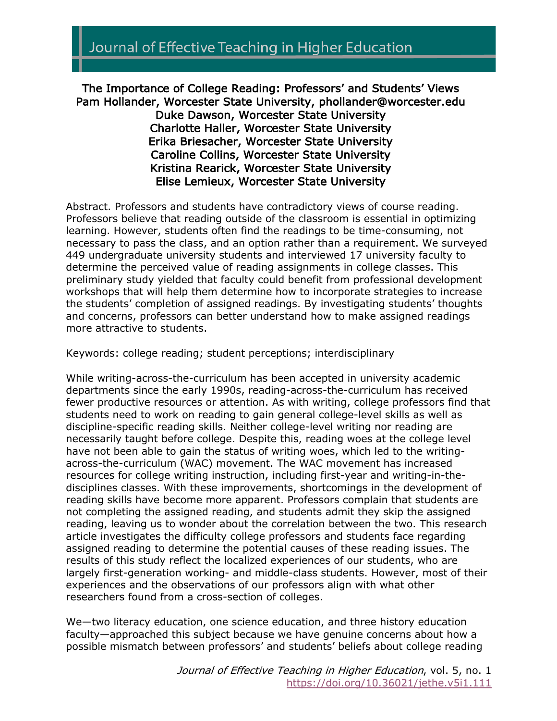# Journal of Effective Teaching in Higher Education

The Importance of College Reading: Professors' and Students' Views Pam Hollander, Worcester State University, phollander@worcester.edu Duke Dawson, Worcester State University Charlotte Haller, Worcester State University Erika Briesacher, Worcester State University Caroline Collins, Worcester State University Kristina Rearick, Worcester State University Elise Lemieux, Worcester State University

Abstract. Professors and students have contradictory views of course reading. Professors believe that reading outside of the classroom is essential in optimizing learning. However, students often find the readings to be time-consuming, not necessary to pass the class, and an option rather than a requirement. We surveyed 449 undergraduate university students and interviewed 17 university faculty to determine the perceived value of reading assignments in college classes. This preliminary study yielded that faculty could benefit from professional development workshops that will help them determine how to incorporate strategies to increase the students' completion of assigned readings. By investigating students' thoughts and concerns, professors can better understand how to make assigned readings more attractive to students.

Keywords: college reading; student perceptions; interdisciplinary

While writing-across-the-curriculum has been accepted in university academic departments since the early 1990s, reading-across-the-curriculum has received fewer productive resources or attention. As with writing, college professors find that students need to work on reading to gain general college-level skills as well as discipline-specific reading skills. Neither college-level writing nor reading are necessarily taught before college. Despite this, reading woes at the college level have not been able to gain the status of writing woes, which led to the writingacross-the-curriculum (WAC) movement. The WAC movement has increased resources for college writing instruction, including first-year and writing-in-thedisciplines classes. With these improvements, shortcomings in the development of reading skills have become more apparent. Professors complain that students are not completing the assigned reading, and students admit they skip the assigned reading, leaving us to wonder about the correlation between the two. This research article investigates the difficulty college professors and students face regarding assigned reading to determine the potential causes of these reading issues. The results of this study reflect the localized experiences of our students, who are largely first-generation working- and middle-class students. However, most of their experiences and the observations of our professors align with what other researchers found from a cross-section of colleges.

We—two literacy education, one science education, and three history education faculty—approached this subject because we have genuine concerns about how a possible mismatch between professors' and students' beliefs about college reading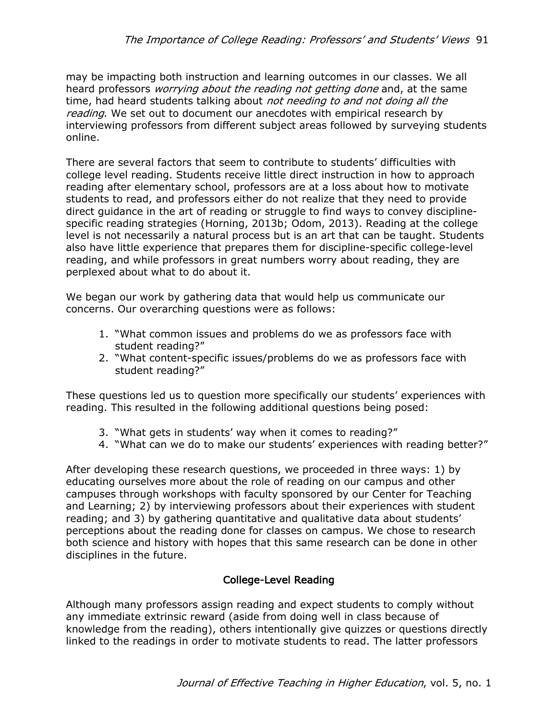may be impacting both instruction and learning outcomes in our classes. We all heard professors *worrying about the reading not getting done* and, at the same time, had heard students talking about not needing to and not doing all the reading. We set out to document our anecdotes with empirical research by interviewing professors from different subject areas followed by surveying students online.

There are several factors that seem to contribute to students' difficulties with college level reading. Students receive little direct instruction in how to approach reading after elementary school, professors are at a loss about how to motivate students to read, and professors either do not realize that they need to provide direct guidance in the art of reading or struggle to find ways to convey disciplinespecific reading strategies (Horning, 2013b; Odom, 2013). Reading at the college level is not necessarily a natural process but is an art that can be taught. Students also have little experience that prepares them for discipline-specific college-level reading, and while professors in great numbers worry about reading, they are perplexed about what to do about it.

We began our work by gathering data that would help us communicate our concerns. Our overarching questions were as follows:

- 1. "What common issues and problems do we as professors face with student reading?"
- 2. "What content-specific issues/problems do we as professors face with student reading?"

These questions led us to question more specifically our students' experiences with reading. This resulted in the following additional questions being posed:

- 3. "What gets in students' way when it comes to reading?"
- 4. "What can we do to make our students' experiences with reading better?"

After developing these research questions, we proceeded in three ways: 1) by educating ourselves more about the role of reading on our campus and other campuses through workshops with faculty sponsored by our Center for Teaching and Learning; 2) by interviewing professors about their experiences with student reading; and 3) by gathering quantitative and qualitative data about students' perceptions about the reading done for classes on campus. We chose to research both science and history with hopes that this same research can be done in other disciplines in the future.

# College-Level Reading

Although many professors assign reading and expect students to comply without any immediate extrinsic reward (aside from doing well in class because of knowledge from the reading), others intentionally give quizzes or questions directly linked to the readings in order to motivate students to read. The latter professors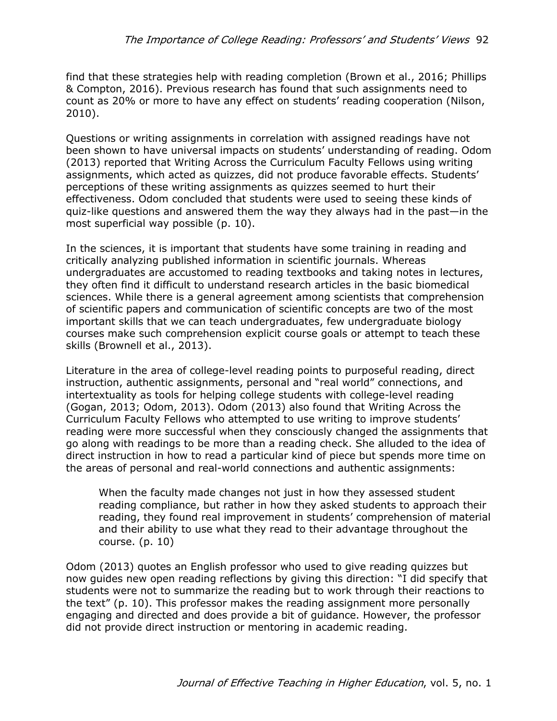find that these strategies help with reading completion (Brown et al., 2016; Phillips & Compton, 2016). Previous research has found that such assignments need to count as 20% or more to have any effect on students' reading cooperation (Nilson, 2010).

Questions or writing assignments in correlation with assigned readings have not been shown to have universal impacts on students' understanding of reading. Odom (2013) reported that Writing Across the Curriculum Faculty Fellows using writing assignments, which acted as quizzes, did not produce favorable effects. Students' perceptions of these writing assignments as quizzes seemed to hurt their effectiveness. Odom concluded that students were used to seeing these kinds of quiz-like questions and answered them the way they always had in the past—in the most superficial way possible (p. 10).

In the sciences, it is important that students have some training in reading and critically analyzing published information in scientific journals. Whereas undergraduates are accustomed to reading textbooks and taking notes in lectures, they often find it difficult to understand research articles in the basic biomedical sciences. While there is a general agreement among scientists that comprehension of scientific papers and communication of scientific concepts are two of the most important skills that we can teach undergraduates, few undergraduate biology courses make such comprehension explicit course goals or attempt to teach these skills (Brownell et al., 2013).

Literature in the area of college-level reading points to purposeful reading, direct instruction, authentic assignments, personal and "real world" connections, and intertextuality as tools for helping college students with college-level reading (Gogan, 2013; Odom, 2013). Odom (2013) also found that Writing Across the Curriculum Faculty Fellows who attempted to use writing to improve students' reading were more successful when they consciously changed the assignments that go along with readings to be more than a reading check. She alluded to the idea of direct instruction in how to read a particular kind of piece but spends more time on the areas of personal and real-world connections and authentic assignments:

When the faculty made changes not just in how they assessed student reading compliance, but rather in how they asked students to approach their reading, they found real improvement in students' comprehension of material and their ability to use what they read to their advantage throughout the course. (p. 10)

Odom (2013) quotes an English professor who used to give reading quizzes but now guides new open reading reflections by giving this direction: "I did specify that students were not to summarize the reading but to work through their reactions to the text" (p. 10). This professor makes the reading assignment more personally engaging and directed and does provide a bit of guidance. However, the professor did not provide direct instruction or mentoring in academic reading.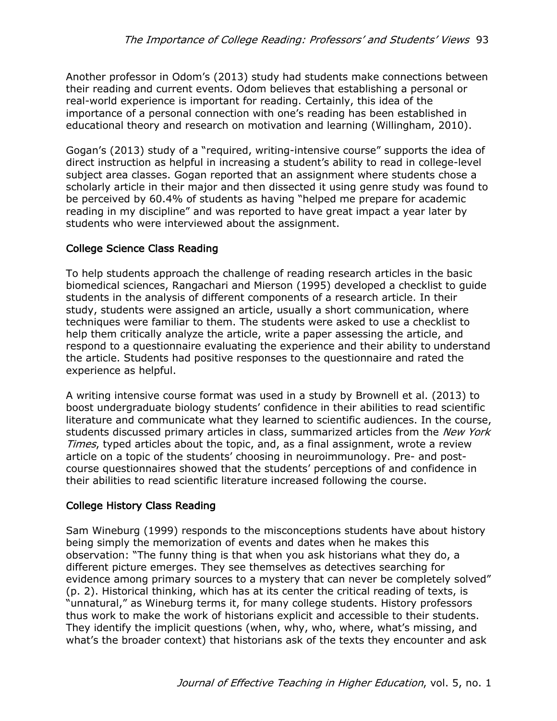Another professor in Odom's (2013) study had students make connections between their reading and current events. Odom believes that establishing a personal or real-world experience is important for reading. Certainly, this idea of the importance of a personal connection with one's reading has been established in educational theory and research on motivation and learning (Willingham, 2010).

Gogan's (2013) study of a "required, writing-intensive course" supports the idea of direct instruction as helpful in increasing a student's ability to read in college-level subject area classes. Gogan reported that an assignment where students chose a scholarly article in their major and then dissected it using genre study was found to be perceived by 60.4% of students as having "helped me prepare for academic reading in my discipline" and was reported to have great impact a year later by students who were interviewed about the assignment.

# College Science Class Reading

To help students approach the challenge of reading research articles in the basic biomedical sciences, Rangachari and Mierson (1995) developed a checklist to guide students in the analysis of different components of a research article. In their study, students were assigned an article, usually a short communication, where techniques were familiar to them. The students were asked to use a checklist to help them critically analyze the article, write a paper assessing the article, and respond to a questionnaire evaluating the experience and their ability to understand the article. Students had positive responses to the questionnaire and rated the experience as helpful.

A writing intensive course format was used in a study by Brownell et al. (2013) to boost undergraduate biology students' confidence in their abilities to read scientific literature and communicate what they learned to scientific audiences. In the course, students discussed primary articles in class, summarized articles from the *New York* Times, typed articles about the topic, and, as a final assignment, wrote a review article on a topic of the students' choosing in neuroimmunology. Pre- and postcourse questionnaires showed that the students' perceptions of and confidence in their abilities to read scientific literature increased following the course.

# College History Class Reading

Sam Wineburg (1999) responds to the misconceptions students have about history being simply the memorization of events and dates when he makes this observation: "The funny thing is that when you ask historians what they do, a different picture emerges. They see themselves as detectives searching for evidence among primary sources to a mystery that can never be completely solved" (p. 2). Historical thinking, which has at its center the critical reading of texts, is "unnatural," as Wineburg terms it, for many college students. History professors thus work to make the work of historians explicit and accessible to their students. They identify the implicit questions (when, why, who, where, what's missing, and what's the broader context) that historians ask of the texts they encounter and ask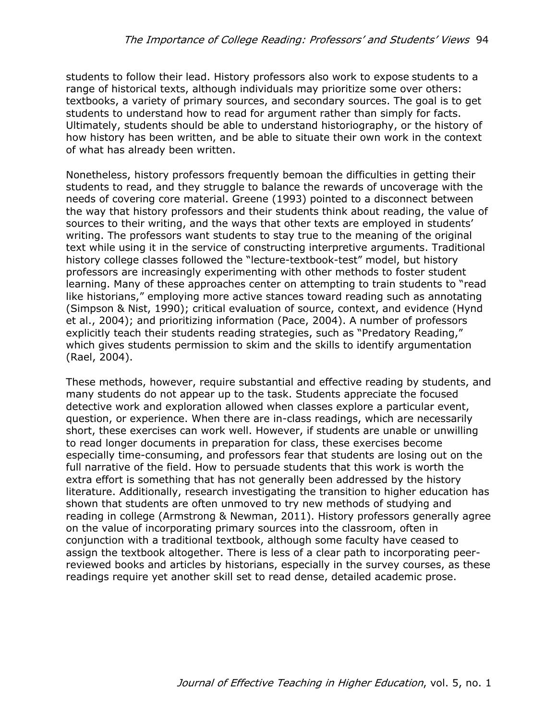students to follow their lead. History professors also work to expose students to a range of historical texts, although individuals may prioritize some over others: textbooks, a variety of primary sources, and secondary sources. The goal is to get students to understand how to read for argument rather than simply for facts. Ultimately, students should be able to understand historiography, or the history of how history has been written, and be able to situate their own work in the context of what has already been written.

Nonetheless, history professors frequently bemoan the difficulties in getting their students to read, and they struggle to balance the rewards of uncoverage with the needs of covering core material. Greene (1993) pointed to a disconnect between the way that history professors and their students think about reading, the value of sources to their writing, and the ways that other texts are employed in students' writing. The professors want students to stay true to the meaning of the original text while using it in the service of constructing interpretive arguments. Traditional history college classes followed the "lecture-textbook-test" model, but history professors are increasingly experimenting with other methods to foster student learning. Many of these approaches center on attempting to train students to "read like historians," employing more active stances toward reading such as annotating (Simpson & Nist, 1990); critical evaluation of source, context, and evidence (Hynd et al., 2004); and prioritizing information (Pace, 2004). A number of professors explicitly teach their students reading strategies, such as "Predatory Reading," which gives students permission to skim and the skills to identify argumentation (Rael, 2004).

These methods, however, require substantial and effective reading by students, and many students do not appear up to the task. Students appreciate the focused detective work and exploration allowed when classes explore a particular event, question, or experience. When there are in-class readings, which are necessarily short, these exercises can work well. However, if students are unable or unwilling to read longer documents in preparation for class, these exercises become especially time-consuming, and professors fear that students are losing out on the full narrative of the field. How to persuade students that this work is worth the extra effort is something that has not generally been addressed by the history literature. Additionally, research investigating the transition to higher education has shown that students are often unmoved to try new methods of studying and reading in college (Armstrong & Newman, 2011). History professors generally agree on the value of incorporating primary sources into the classroom, often in conjunction with a traditional textbook, although some faculty have ceased to assign the textbook altogether. There is less of a clear path to incorporating peerreviewed books and articles by historians, especially in the survey courses, as these readings require yet another skill set to read dense, detailed academic prose.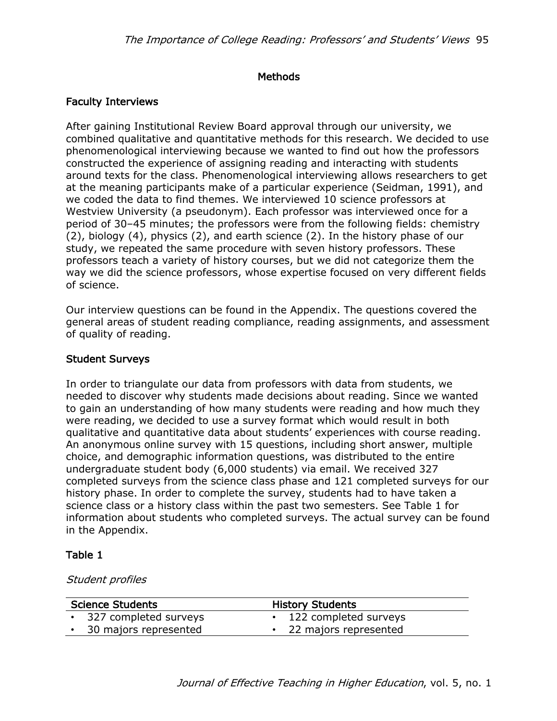## Methods

## Faculty Interviews

After gaining Institutional Review Board approval through our university, we combined qualitative and quantitative methods for this research. We decided to use phenomenological interviewing because we wanted to find out how the professors constructed the experience of assigning reading and interacting with students around texts for the class. Phenomenological interviewing allows researchers to get at the meaning participants make of a particular experience (Seidman, 1991), and we coded the data to find themes. We interviewed 10 science professors at Westview University (a pseudonym). Each professor was interviewed once for a period of 30–45 minutes; the professors were from the following fields: chemistry (2), biology (4), physics (2), and earth science (2). In the history phase of our study, we repeated the same procedure with seven history professors. These professors teach a variety of history courses, but we did not categorize them the way we did the science professors, whose expertise focused on very different fields of science.

Our interview questions can be found in the Appendix. The questions covered the general areas of student reading compliance, reading assignments, and assessment of quality of reading.

#### Student Surveys

In order to triangulate our data from professors with data from students, we needed to discover why students made decisions about reading. Since we wanted to gain an understanding of how many students were reading and how much they were reading, we decided to use a survey format which would result in both qualitative and quantitative data about students' experiences with course reading. An anonymous online survey with 15 questions, including short answer, multiple choice, and demographic information questions, was distributed to the entire undergraduate student body (6,000 students) via email. We received 327 completed surveys from the science class phase and 121 completed surveys for our history phase. In order to complete the survey, students had to have taken a science class or a history class within the past two semesters. See Table 1 for information about students who completed surveys. The actual survey can be found in the Appendix.

#### Table 1

#### Student profiles

| <b>Science Students</b> |                         | <b>History Students</b> |  |
|-------------------------|-------------------------|-------------------------|--|
|                         | • 327 completed surveys | • 122 completed surveys |  |
|                         | • 30 majors represented | • 22 majors represented |  |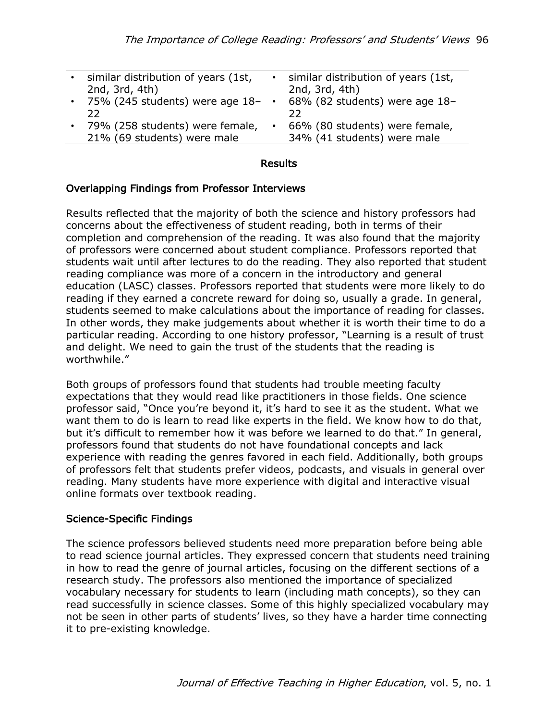| 2nd, 3rd, 4th) | similar distribution of years (1st,                            | $\bullet$ | similar distribution of years (1st,<br>2nd, 3rd, 4th)         |
|----------------|----------------------------------------------------------------|-----------|---------------------------------------------------------------|
| フフ             | 75% (245 students) were age $18-$                              |           | 68% (82 students) were age 18-<br>フフ                          |
|                | 79% (258 students) were female,<br>21% (69 students) were male | $\bullet$ | 66% (80 students) were female,<br>34% (41 students) were male |

#### Results

#### Overlapping Findings from Professor Interviews

Results reflected that the majority of both the science and history professors had concerns about the effectiveness of student reading, both in terms of their completion and comprehension of the reading. It was also found that the majority of professors were concerned about student compliance. Professors reported that students wait until after lectures to do the reading. They also reported that student reading compliance was more of a concern in the introductory and general education (LASC) classes. Professors reported that students were more likely to do reading if they earned a concrete reward for doing so, usually a grade. In general, students seemed to make calculations about the importance of reading for classes. In other words, they make judgements about whether it is worth their time to do a particular reading. According to one history professor, "Learning is a result of trust and delight. We need to gain the trust of the students that the reading is worthwhile."

Both groups of professors found that students had trouble meeting faculty expectations that they would read like practitioners in those fields. One science professor said, "Once you're beyond it, it's hard to see it as the student. What we want them to do is learn to read like experts in the field. We know how to do that, but it's difficult to remember how it was before we learned to do that." In general, professors found that students do not have foundational concepts and lack experience with reading the genres favored in each field. Additionally, both groups of professors felt that students prefer videos, podcasts, and visuals in general over reading. Many students have more experience with digital and interactive visual online formats over textbook reading.

#### Science-Specific Findings

The science professors believed students need more preparation before being able to read science journal articles. They expressed concern that students need training in how to read the genre of journal articles, focusing on the different sections of a research study. The professors also mentioned the importance of specialized vocabulary necessary for students to learn (including math concepts), so they can read successfully in science classes. Some of this highly specialized vocabulary may not be seen in other parts of students' lives, so they have a harder time connecting it to pre-existing knowledge.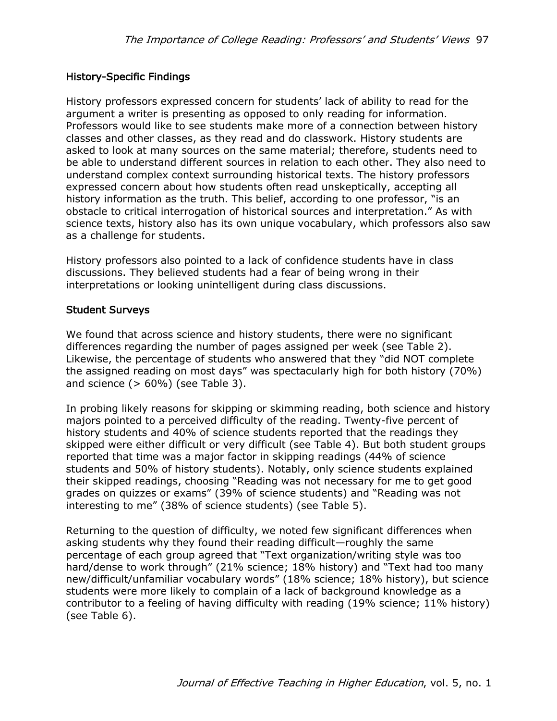## History-Specific Findings

History professors expressed concern for students' lack of ability to read for the argument a writer is presenting as opposed to only reading for information. Professors would like to see students make more of a connection between history classes and other classes, as they read and do classwork. History students are asked to look at many sources on the same material; therefore, students need to be able to understand different sources in relation to each other. They also need to understand complex context surrounding historical texts. The history professors expressed concern about how students often read unskeptically, accepting all history information as the truth. This belief, according to one professor, "is an obstacle to critical interrogation of historical sources and interpretation." As with science texts, history also has its own unique vocabulary, which professors also saw as a challenge for students.

History professors also pointed to a lack of confidence students have in class discussions. They believed students had a fear of being wrong in their interpretations or looking unintelligent during class discussions.

#### Student Surveys

We found that across science and history students, there were no significant differences regarding the number of pages assigned per week (see Table 2). Likewise, the percentage of students who answered that they "did NOT complete the assigned reading on most days" was spectacularly high for both history (70%) and science  $(> 60\%)$  (see Table 3).

In probing likely reasons for skipping or skimming reading, both science and history majors pointed to a perceived difficulty of the reading. Twenty-five percent of history students and 40% of science students reported that the readings they skipped were either difficult or very difficult (see Table 4). But both student groups reported that time was a major factor in skipping readings (44% of science students and 50% of history students). Notably, only science students explained their skipped readings, choosing "Reading was not necessary for me to get good grades on quizzes or exams" (39% of science students) and "Reading was not interesting to me" (38% of science students) (see Table 5).

Returning to the question of difficulty, we noted few significant differences when asking students why they found their reading difficult—roughly the same percentage of each group agreed that "Text organization/writing style was too hard/dense to work through" (21% science; 18% history) and "Text had too many new/difficult/unfamiliar vocabulary words" (18% science; 18% history), but science students were more likely to complain of a lack of background knowledge as a contributor to a feeling of having difficulty with reading (19% science; 11% history) (see Table 6).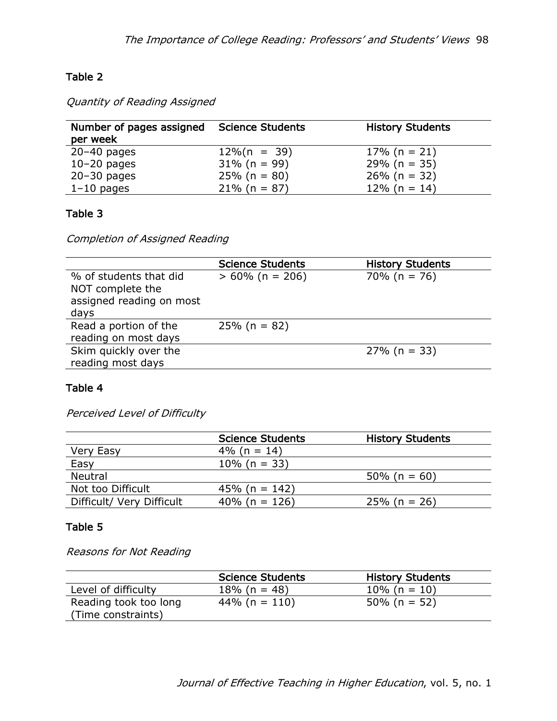# Table 2

Quantity of Reading Assigned

| Number of pages assigned<br>per week | <b>Science Students</b> | <b>History Students</b> |
|--------------------------------------|-------------------------|-------------------------|
| $20-40$ pages                        | $12\%$ (n = 39)         | $17\%$ (n = 21)         |
| $10-20$ pages                        | $31\%$ (n = 99)         | $29\%$ (n = 35)         |
| $20 - 30$ pages                      | $25\%$ (n = 80)         | $26\%$ (n = 32)         |
| $1-10$ pages                         | $21\%$ (n = 87)         | $12\%$ (n = 14)         |

# Table 3

Completion of Assigned Reading

|                          | <b>Science Students</b> | <b>History Students</b> |
|--------------------------|-------------------------|-------------------------|
| % of students that did   | $> 60\%$ (n = 206)      | $70\%$ (n = 76)         |
| NOT complete the         |                         |                         |
| assigned reading on most |                         |                         |
| days                     |                         |                         |
| Read a portion of the    | $25\%$ (n = 82)         |                         |
| reading on most days     |                         |                         |
| Skim quickly over the    |                         | $27\%$ (n = 33)         |
| reading most days        |                         |                         |

## Table 4

Perceived Level of Difficulty

|                           | <b>Science Students</b> | <b>History Students</b> |
|---------------------------|-------------------------|-------------------------|
| Very Easy                 | $4\%$ (n = 14)          |                         |
| Easy                      | $10\%$ (n = 33)         |                         |
| <b>Neutral</b>            |                         | $50\%$ (n = 60)         |
| Not too Difficult         | 45% (n = 142)           |                         |
| Difficult/ Very Difficult | 40% (n = $126$ )        | $25\%$ (n = 26)         |

## Table 5

Reasons for Not Reading

|                       | <b>Science Students</b> | <b>History Students</b> |  |
|-----------------------|-------------------------|-------------------------|--|
| Level of difficulty   | $18\%$ (n = 48)         | $10\%$ (n = 10)         |  |
| Reading took too long | $44\%$ (n = 110)        | $50\%$ (n = 52)         |  |
| (Time constraints)    |                         |                         |  |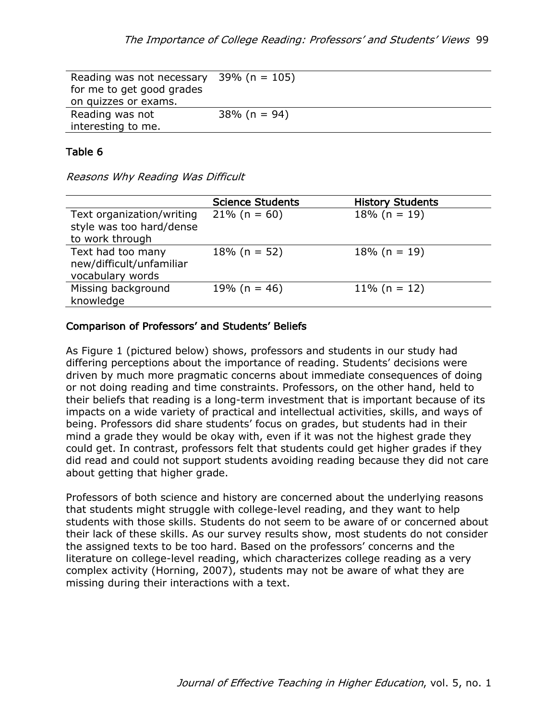| Reading was not necessary | 39% (n = 105)   |
|---------------------------|-----------------|
| for me to get good grades |                 |
| on quizzes or exams.      |                 |
| Reading was not           | $38\%$ (n = 94) |
| interesting to me.        |                 |

#### Table 6

Reasons Why Reading Was Difficult

|                                                                          | <b>Science Students</b> | <b>History Students</b> |
|--------------------------------------------------------------------------|-------------------------|-------------------------|
| Text organization/writing<br>style was too hard/dense<br>to work through | $21\%$ (n = 60)         | $18\%$ (n = 19)         |
| Text had too many<br>new/difficult/unfamiliar<br>vocabulary words        | $18\%$ (n = 52)         | $18\%$ (n = 19)         |
| Missing background<br>knowledge                                          | 19% (n = 46)            | $11\%$ (n = 12)         |

#### Comparison of Professors' and Students' Beliefs

As Figure 1 (pictured below) shows, professors and students in our study had differing perceptions about the importance of reading. Students' decisions were driven by much more pragmatic concerns about immediate consequences of doing or not doing reading and time constraints. Professors, on the other hand, held to their beliefs that reading is a long-term investment that is important because of its impacts on a wide variety of practical and intellectual activities, skills, and ways of being. Professors did share students' focus on grades, but students had in their mind a grade they would be okay with, even if it was not the highest grade they could get. In contrast, professors felt that students could get higher grades if they did read and could not support students avoiding reading because they did not care about getting that higher grade.

Professors of both science and history are concerned about the underlying reasons that students might struggle with college-level reading, and they want to help students with those skills. Students do not seem to be aware of or concerned about their lack of these skills. As our survey results show, most students do not consider the assigned texts to be too hard. Based on the professors' concerns and the literature on college-level reading, which characterizes college reading as a very complex activity (Horning, 2007), students may not be aware of what they are missing during their interactions with a text.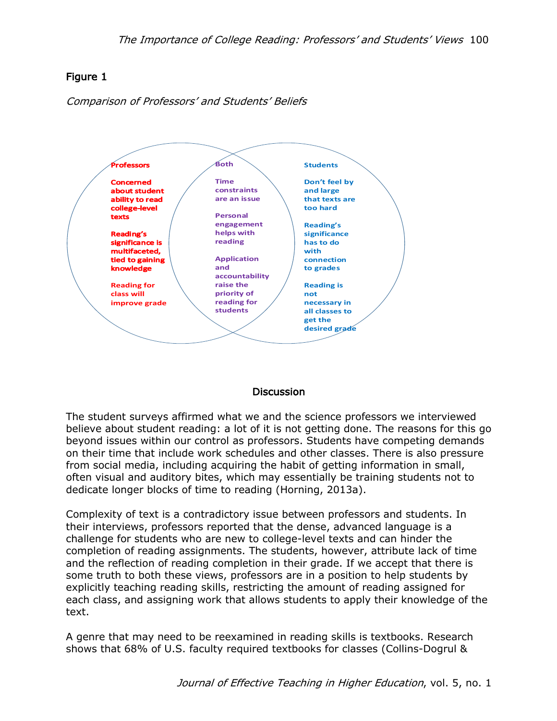# Figure 1

Comparison of Professors' and Students' Beliefs



## **Discussion**

The student surveys affirmed what we and the science professors we interviewed believe about student reading: a lot of it is not getting done. The reasons for this go beyond issues within our control as professors. Students have competing demands on their time that include work schedules and other classes. There is also pressure from social media, including acquiring the habit of getting information in small, often visual and auditory bites, which may essentially be training students not to dedicate longer blocks of time to reading (Horning, 2013a).

Complexity of text is a contradictory issue between professors and students. In their interviews, professors reported that the dense, advanced language is a challenge for students who are new to college-level texts and can hinder the completion of reading assignments. The students, however, attribute lack of time and the reflection of reading completion in their grade. If we accept that there is some truth to both these views, professors are in a position to help students by explicitly teaching reading skills, restricting the amount of reading assigned for each class, and assigning work that allows students to apply their knowledge of the text.

A genre that may need to be reexamined in reading skills is textbooks. Research shows that 68% of U.S. faculty required textbooks for classes (Collins-Dogrul &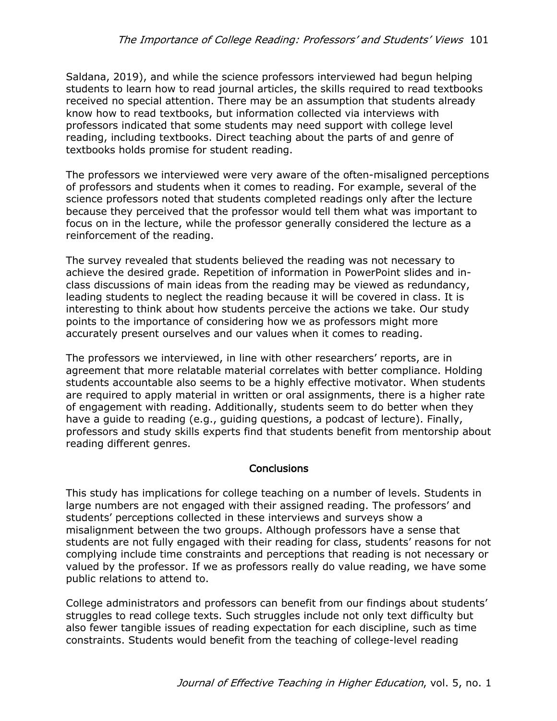Saldana, 2019), and while the science professors interviewed had begun helping students to learn how to read journal articles, the skills required to read textbooks received no special attention. There may be an assumption that students already know how to read textbooks, but information collected via interviews with professors indicated that some students may need support with college level reading, including textbooks. Direct teaching about the parts of and genre of textbooks holds promise for student reading.

The professors we interviewed were very aware of the often-misaligned perceptions of professors and students when it comes to reading. For example, several of the science professors noted that students completed readings only after the lecture because they perceived that the professor would tell them what was important to focus on in the lecture, while the professor generally considered the lecture as a reinforcement of the reading.

The survey revealed that students believed the reading was not necessary to achieve the desired grade. Repetition of information in PowerPoint slides and inclass discussions of main ideas from the reading may be viewed as redundancy, leading students to neglect the reading because it will be covered in class. It is interesting to think about how students perceive the actions we take. Our study points to the importance of considering how we as professors might more accurately present ourselves and our values when it comes to reading.

The professors we interviewed, in line with other researchers' reports, are in agreement that more relatable material correlates with better compliance. Holding students accountable also seems to be a highly effective motivator. When students are required to apply material in written or oral assignments, there is a higher rate of engagement with reading. Additionally, students seem to do better when they have a guide to reading (e.g., guiding questions, a podcast of lecture). Finally, professors and study skills experts find that students benefit from mentorship about reading different genres.

## **Conclusions**

This study has implications for college teaching on a number of levels. Students in large numbers are not engaged with their assigned reading. The professors' and students' perceptions collected in these interviews and surveys show a misalignment between the two groups. Although professors have a sense that students are not fully engaged with their reading for class, students' reasons for not complying include time constraints and perceptions that reading is not necessary or valued by the professor. If we as professors really do value reading, we have some public relations to attend to.

College administrators and professors can benefit from our findings about students' struggles to read college texts. Such struggles include not only text difficulty but also fewer tangible issues of reading expectation for each discipline, such as time constraints. Students would benefit from the teaching of college-level reading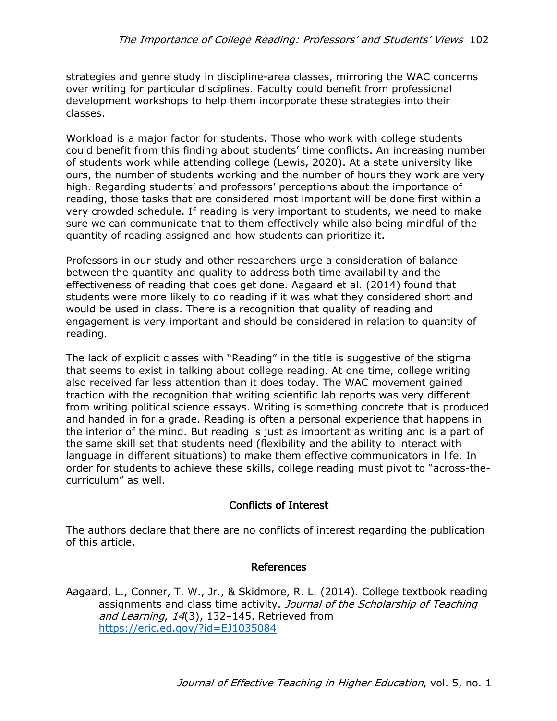strategies and genre study in discipline-area classes, mirroring the WAC concerns over writing for particular disciplines. Faculty could benefit from professional development workshops to help them incorporate these strategies into their classes.

Workload is a major factor for students. Those who work with college students could benefit from this finding about students' time conflicts. An increasing number of students work while attending college (Lewis, 2020). At a state university like ours, the number of students working and the number of hours they work are very high. Regarding students' and professors' perceptions about the importance of reading, those tasks that are considered most important will be done first within a very crowded schedule. If reading is very important to students, we need to make sure we can communicate that to them effectively while also being mindful of the quantity of reading assigned and how students can prioritize it.

Professors in our study and other researchers urge a consideration of balance between the quantity and quality to address both time availability and the effectiveness of reading that does get done. Aagaard et al. (2014) found that students were more likely to do reading if it was what they considered short and would be used in class. There is a recognition that quality of reading and engagement is very important and should be considered in relation to quantity of reading.

The lack of explicit classes with "Reading" in the title is suggestive of the stigma that seems to exist in talking about college reading. At one time, college writing also received far less attention than it does today. The WAC movement gained traction with the recognition that writing scientific lab reports was very different from writing political science essays. Writing is something concrete that is produced and handed in for a grade. Reading is often a personal experience that happens in the interior of the mind. But reading is just as important as writing and is a part of the same skill set that students need (flexibility and the ability to interact with language in different situations) to make them effective communicators in life. In order for students to achieve these skills, college reading must pivot to "across-thecurriculum" as well.

# Conflicts of Interest

The authors declare that there are no conflicts of interest regarding the publication of this article.

## References

Aagaard, L., Conner, T. W., Jr., & Skidmore, R. L. (2014). College textbook reading assignments and class time activity. Journal of the Scholarship of Teaching and Learning, 14(3), 132-145. Retrieved from https://eric.ed.gov/?id=EJ1035084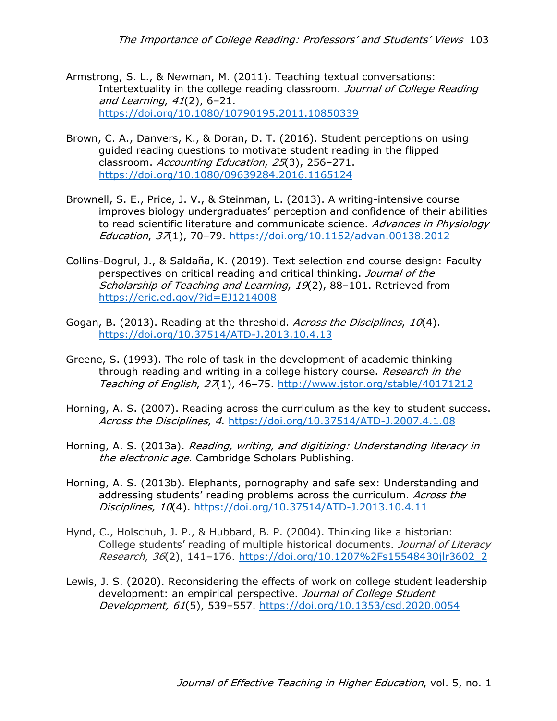- Armstrong, S. L., & Newman, M. (2011). Teaching textual conversations: Intertextuality in the college reading classroom. Journal of College Reading and Learning, 41(2), 6–21. https://doi.org/10.1080/10790195.2011.10850339
- Brown, C. A., Danvers, K., & Doran, D. T. (2016). Student perceptions on using guided reading questions to motivate student reading in the flipped classroom. Accounting Education, 25(3), 256–271. https://doi.org/10.1080/09639284.2016.1165124
- Brownell, S. E., Price, J. V., & Steinman, L. (2013). A writing-intensive course improves biology undergraduates' perception and confidence of their abilities to read scientific literature and communicate science. Advances in Physiology Education, 37(1), 70–79. https://doi.org/10.1152/advan.00138.2012
- Collins-Dogrul, J., & Saldaña, K. (2019). Text selection and course design: Faculty perspectives on critical reading and critical thinking. Journal of the Scholarship of Teaching and Learning, 19(2), 88-101. Retrieved from https://eric.ed.gov/?id=EJ1214008
- Gogan, B. (2013). Reading at the threshold. Across the Disciplines, 10(4). https://doi.org/10.37514/ATD-J.2013.10.4.13
- Greene, S. (1993). The role of task in the development of academic thinking through reading and writing in a college history course. Research in the Teaching of English, 27(1), 46–75. http://www.jstor.org/stable/40171212
- Horning, A. S. (2007). Reading across the curriculum as the key to student success. Across the Disciplines, 4. https://doi.org/10.37514/ATD-J.2007.4.1.08
- Horning, A. S. (2013a). Reading, writing, and digitizing: Understanding literacy in the electronic age. Cambridge Scholars Publishing.
- Horning, A. S. (2013b). Elephants, pornography and safe sex: Understanding and addressing students' reading problems across the curriculum. Across the Disciplines, 10(4). https://doi.org/10.37514/ATD-J.2013.10.4.11
- Hynd, C., Holschuh, J. P., & Hubbard, B. P. (2004). Thinking like a historian: College students' reading of multiple historical documents. Journal of Literacy Research, 36(2), 141–176. https://doi.org/10.1207%2Fs15548430jlr3602\_2
- Lewis, J. S. (2020). Reconsidering the effects of work on college student leadership development: an empirical perspective. Journal of College Student Development, 61(5), 539–557. https://doi.org/10.1353/csd.2020.0054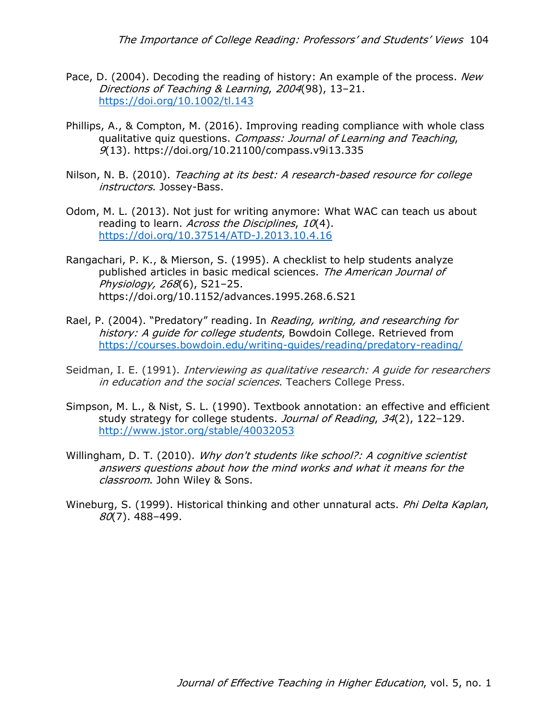The Importance of College Reading: Professors' and Students' Views 104

- Pace, D. (2004). Decoding the reading of history: An example of the process. New Directions of Teaching & Learning, 2004(98), 13–21. https://doi.org/10.1002/tl.143
- Phillips, A., & Compton, M. (2016). Improving reading compliance with whole class qualitative quiz questions. Compass: Journal of Learning and Teaching, 9(13). https://doi.org/10.21100/compass.v9i13.335
- Nilson, N. B. (2010). Teaching at its best: A research-based resource for college instructors. Jossey-Bass.
- Odom, M. L. (2013). Not just for writing anymore: What WAC can teach us about reading to learn. Across the Disciplines, 10(4). https://doi.org/10.37514/ATD-J.2013.10.4.16
- Rangachari, P. K., & Mierson, S. (1995). A checklist to help students analyze published articles in basic medical sciences. The American Journal of Physiology, 268(6), S21–25. https://doi.org/10.1152/advances.1995.268.6.S21
- Rael, P. (2004). "Predatory" reading. In Reading, writing, and researching for history: A quide for college students, Bowdoin College. Retrieved from https://courses.bowdoin.edu/writing-guides/reading/predatory-reading/
- Seidman, I. E. (1991). *Interviewing as qualitative research: A quide for researchers* in education and the social sciences. Teachers College Press.
- Simpson, M. L., & Nist, S. L. (1990). Textbook annotation: an effective and efficient study strategy for college students. Journal of Reading, 34(2), 122-129. http://www.jstor.org/stable/40032053
- Willingham, D. T. (2010). Why don't students like school?: A cognitive scientist answers questions about how the mind works and what it means for the classroom. John Wiley & Sons.
- Wineburg, S. (1999). Historical thinking and other unnatural acts. *Phi Delta Kaplan*, 80(7). 488–499.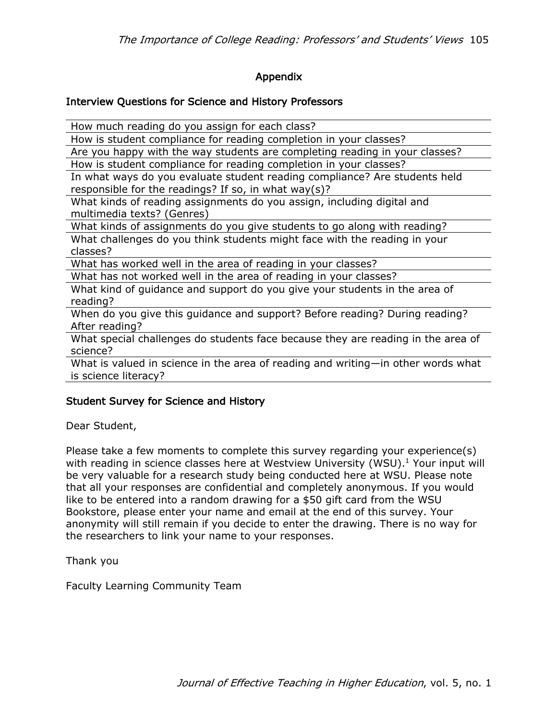# Appendix

## Interview Questions for Science and History Professors

How much reading do you assign for each class?

How is student compliance for reading completion in your classes?

Are you happy with the way students are completing reading in your classes? How is student compliance for reading completion in your classes?

In what ways do you evaluate student reading compliance? Are students held responsible for the readings? If so, in what way(s)?

What kinds of reading assignments do you assign, including digital and multimedia texts? (Genres)

What kinds of assignments do you give students to go along with reading?

What challenges do you think students might face with the reading in your classes?

What has worked well in the area of reading in your classes?

What has not worked well in the area of reading in your classes?

What kind of guidance and support do you give your students in the area of reading?

When do you give this guidance and support? Before reading? During reading? After reading?

What special challenges do students face because they are reading in the area of science?

What is valued in science in the area of reading and writing—in other words what is science literacy?

# Student Survey for Science and History

Dear Student,

Please take a few moments to complete this survey regarding your experience(s) with reading in science classes here at Westview University (WSU).<sup>1</sup> Your input will be very valuable for a research study being conducted here at WSU. Please note that all your responses are confidential and completely anonymous. If you would like to be entered into a random drawing for a \$50 gift card from the WSU Bookstore, please enter your name and email at the end of this survey. Your anonymity will still remain if you decide to enter the drawing. There is no way for the researchers to link your name to your responses.

Thank you

Faculty Learning Community Team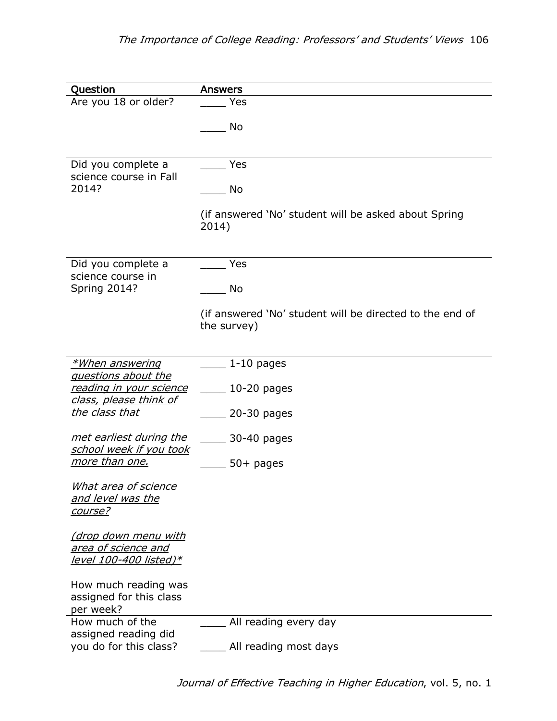| Question                                                                     | <b>Answers</b>                                                          |
|------------------------------------------------------------------------------|-------------------------------------------------------------------------|
| Are you 18 or older?                                                         | Yes                                                                     |
|                                                                              | No                                                                      |
| Did you complete a<br>science course in Fall<br>2014?                        | Yes<br>No<br>(if answered 'No' student will be asked about Spring       |
|                                                                              | 2014)                                                                   |
| Did you complete a<br>science course in                                      | Yes                                                                     |
| <b>Spring 2014?</b>                                                          | No                                                                      |
|                                                                              | (if answered 'No' student will be directed to the end of<br>the survey) |
| *When answering                                                              | $1-10$ pages                                                            |
| questions about the<br><u>reading in your science</u>                        | $10-20$ pages                                                           |
| class, please think of                                                       |                                                                         |
| the class that                                                               | $20-30$ pages                                                           |
| <u>met earliest during the</u><br>school week if you took                    | 30-40 pages                                                             |
| more than one.                                                               | $50+$ pages                                                             |
| What area of science<br><u>and level was the</u><br>course?                  |                                                                         |
| <u>(drop down menu with</u><br>area of science and<br>level 100-400 listed)* |                                                                         |
| How much reading was<br>assigned for this class<br>per week?                 |                                                                         |
| How much of the                                                              | All reading every day                                                   |
| assigned reading did<br>you do for this class?                               | All reading most days                                                   |

Journal of Effective Teaching in Higher Education, vol. 5, no. 1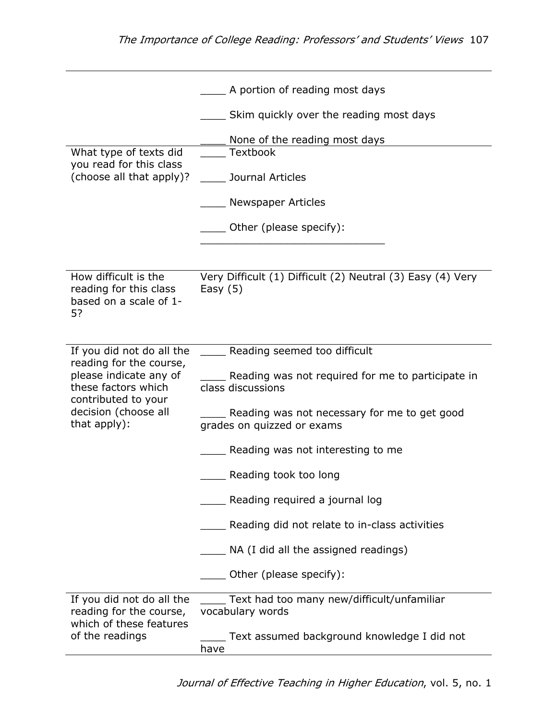|                                                                                                 | A portion of reading most days                                             |
|-------------------------------------------------------------------------------------------------|----------------------------------------------------------------------------|
|                                                                                                 | Skim quickly over the reading most days                                    |
|                                                                                                 | None of the reading most days                                              |
| What type of texts did<br>you read for this class                                               | Textbook                                                                   |
| (choose all that apply)?                                                                        | Journal Articles                                                           |
|                                                                                                 | Newspaper Articles                                                         |
|                                                                                                 | Other (please specify):                                                    |
|                                                                                                 |                                                                            |
| How difficult is the<br>reading for this class<br>based on a scale of 1-<br>5?                  | Very Difficult (1) Difficult (2) Neutral (3) Easy (4) Very<br>Easy $(5)$   |
| If you did not do all the                                                                       | _____ Reading seemed too difficult                                         |
| reading for the course,<br>please indicate any of<br>these factors which<br>contributed to your | Reading was not required for me to participate in<br>class discussions     |
| decision (choose all<br>that apply):                                                            | Reading was not necessary for me to get good<br>grades on quizzed or exams |
|                                                                                                 | Reading was not interesting to me                                          |
|                                                                                                 | Reading took too long                                                      |
|                                                                                                 | Reading required a journal log                                             |
|                                                                                                 | Reading did not relate to in-class activities                              |
|                                                                                                 | NA (I did all the assigned readings)                                       |
|                                                                                                 | Other (please specify):                                                    |
| If you did not do all the<br>reading for the course,<br>which of these features                 | Text had too many new/difficult/unfamiliar<br>vocabulary words             |
| of the readings                                                                                 | Text assumed background knowledge I did not<br>have                        |

Journal of Effective Teaching in Higher Education, vol. 5, no. 1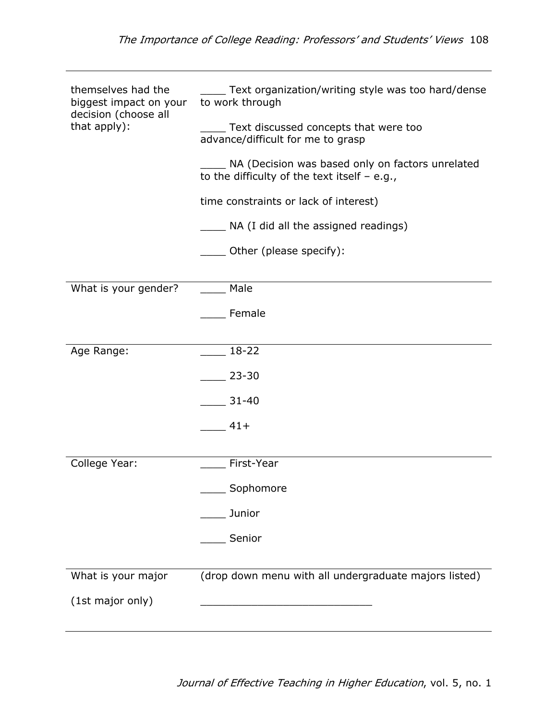| themselves had the<br>biggest impact on your<br>decision (choose all | Text organization/writing style was too hard/dense<br>to work through                              |  |  |
|----------------------------------------------------------------------|----------------------------------------------------------------------------------------------------|--|--|
| that apply):                                                         | Text discussed concepts that were too<br>advance/difficult for me to grasp                         |  |  |
|                                                                      | NA (Decision was based only on factors unrelated<br>to the difficulty of the text itself $-$ e.g., |  |  |
|                                                                      | time constraints or lack of interest)                                                              |  |  |
|                                                                      | ___ NA (I did all the assigned readings)                                                           |  |  |
|                                                                      | __ Other (please specify):                                                                         |  |  |
| What is your gender?                                                 | Male                                                                                               |  |  |
|                                                                      | Female                                                                                             |  |  |
| Age Range:                                                           | $18 - 22$                                                                                          |  |  |
|                                                                      | $23 - 30$                                                                                          |  |  |
|                                                                      | $31 - 40$                                                                                          |  |  |
|                                                                      | $41+$                                                                                              |  |  |
| College Year:                                                        | First-Year                                                                                         |  |  |
|                                                                      | Sophomore                                                                                          |  |  |
|                                                                      | Junior                                                                                             |  |  |
|                                                                      | Senior                                                                                             |  |  |
| What is your major                                                   | (drop down menu with all undergraduate majors listed)                                              |  |  |
| (1st major only)                                                     |                                                                                                    |  |  |